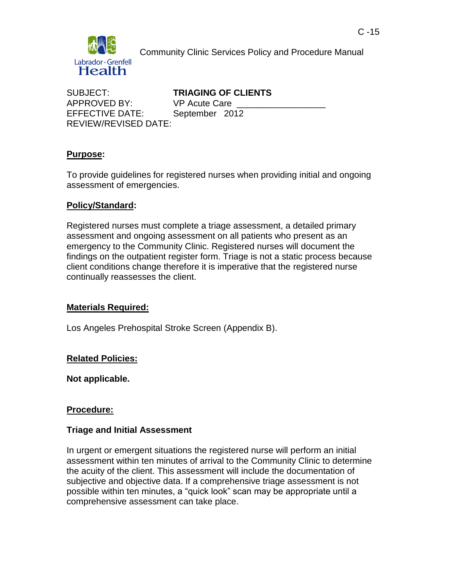

Community Clinic Services Policy and Procedure Manual

APPROVED BY: VP Acute Care EFFECTIVE DATE: September 2012 REVIEW/REVISED DATE:

SUBJECT: **TRIAGING OF CLIENTS**

## **Purpose:**

To provide guidelines for registered nurses when providing initial and ongoing assessment of emergencies.

## **Policy/Standard:**

Registered nurses must complete a triage assessment, a detailed primary assessment and ongoing assessment on all patients who present as an emergency to the Community Clinic. Registered nurses will document the findings on the outpatient register form. Triage is not a static process because client conditions change therefore it is imperative that the registered nurse continually reassesses the client.

## **Materials Required:**

Los Angeles Prehospital Stroke Screen (Appendix B).

## **Related Policies:**

**Not applicable.**

## **Procedure:**

## **Triage and Initial Assessment**

In urgent or emergent situations the registered nurse will perform an initial assessment within ten minutes of arrival to the Community Clinic to determine the acuity of the client. This assessment will include the documentation of subjective and objective data. If a comprehensive triage assessment is not possible within ten minutes, a "quick look" scan may be appropriate until a comprehensive assessment can take place.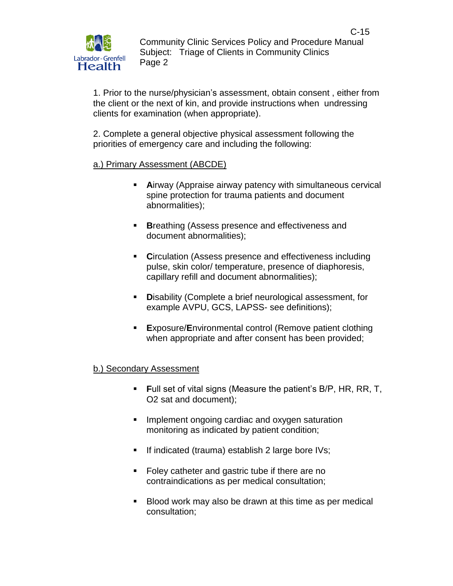1. Prior to the nurse/physician's assessment, obtain consent , either from the client or the next of kin, and provide instructions when undressing clients for examination (when appropriate).

2. Complete a general objective physical assessment following the priorities of emergency care and including the following:

a.) Primary Assessment (ABCDE)

- **A**irway (Appraise airway patency with simultaneous cervical spine protection for trauma patients and document abnormalities);
- **Breathing (Assess presence and effectiveness and <b>Breathing** (Assess presence and **Breath**) document abnormalities);
- **Circulation (Assess presence and effectiveness including** pulse, skin color/ temperature, presence of diaphoresis, capillary refill and document abnormalities);
- **D**isability (Complete a brief neurological assessment, for example AVPU, GCS, LAPSS- see definitions);
- **E**xposure/**E**nvironmental control (Remove patient clothing when appropriate and after consent has been provided;

# b.) Secondary Assessment

- **F**ull set of vital signs (Measure the patient's B/P, HR, RR, T, O2 sat and document);
- **Implement ongoing cardiac and oxygen saturation** monitoring as indicated by patient condition;
- If indicated (trauma) establish 2 large bore IVs;
- Foley catheter and gastric tube if there are no contraindications as per medical consultation;
- Blood work may also be drawn at this time as per medical consultation;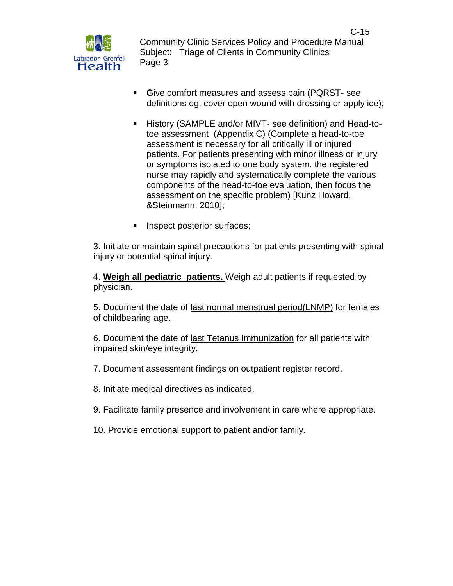

- **G**ive comfort measures and assess pain (PQRST- see definitions eg, cover open wound with dressing or apply ice);
- **H**istory (SAMPLE and/or MIVT- see definition) and **H**ead-totoe assessment (Appendix C) (Complete a head-to-toe assessment is necessary for all critically ill or injured patients. For patients presenting with minor illness or injury or symptoms isolated to one body system, the registered nurse may rapidly and systematically complete the various components of the head-to-toe evaluation, then focus the assessment on the specific problem) [Kunz Howard, &Steinmann, 2010];
- **I**nspect posterior surfaces;

3. Initiate or maintain spinal precautions for patients presenting with spinal injury or potential spinal injury.

4. **Weigh all pediatric patients.** Weigh adult patients if requested by physician.

5. Document the date of last normal menstrual period(LNMP) for females of childbearing age.

6. Document the date of last Tetanus Immunization for all patients with impaired skin/eye integrity.

- 7. Document assessment findings on outpatient register record.
- 8. Initiate medical directives as indicated.
- 9. Facilitate family presence and involvement in care where appropriate.
- 10. Provide emotional support to patient and/or family.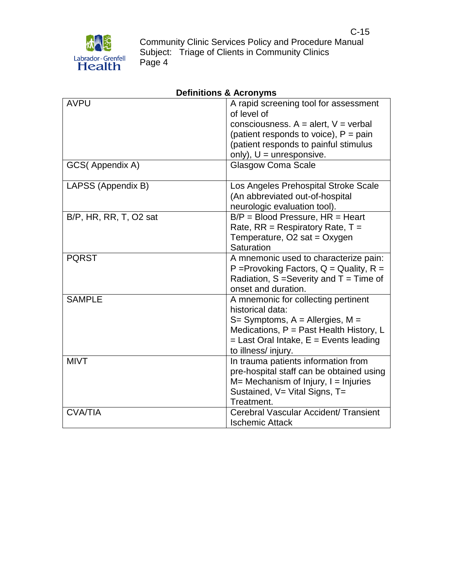

| <b>AVPU</b>            | A rapid screening tool for assessment<br>of level of |
|------------------------|------------------------------------------------------|
|                        | consciousness. $A =$ alert, $V =$ verbal             |
|                        | (patient responds to voice), $P = \text{pain}$       |
|                        | (patient responds to painful stimulus                |
|                        | only), $U =$ unresponsive.                           |
| GCS(Appendix A)        | <b>Glasgow Coma Scale</b>                            |
| LAPSS (Appendix B)     | Los Angeles Prehospital Stroke Scale                 |
|                        | (An abbreviated out-of-hospital                      |
|                        | neurologic evaluation tool).                         |
| B/P, HR, RR, T, O2 sat | $B/P = Blood Pressure, HR = Heart$                   |
|                        | Rate, $RR =$ Respiratory Rate, $T =$                 |
|                        | Temperature, O2 sat = Oxygen                         |
|                        | Saturation                                           |
| <b>PQRST</b>           | A mnemonic used to characterize pain:                |
|                        | P = Provoking Factors, $Q =$ Quality, R =            |
|                        | Radiation, $S =$ Severity and $T =$ Time of          |
|                        | onset and duration.                                  |
| <b>SAMPLE</b>          | A mnemonic for collecting pertinent                  |
|                        | historical data:                                     |
|                        | $S=$ Symptoms, A = Allergies, M =                    |
|                        | Medications, P = Past Health History, L              |
|                        | $=$ Last Oral Intake, $E =$ Events leading           |
|                        | to illness/ injury.                                  |
| <b>MIVT</b>            | In trauma patients information from                  |
|                        | pre-hospital staff can be obtained using             |
|                        | $M=$ Mechanism of Injury, $I =$ Injuries             |
|                        | Sustained, V= Vital Signs, T=                        |
|                        | Treatment.                                           |
| <b>CVA/TIA</b>         | Cerebral Vascular Accident/ Transient                |
|                        | <b>Ischemic Attack</b>                               |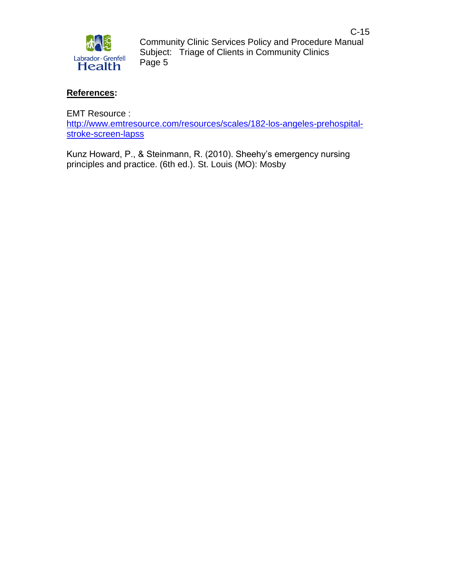

## **References:**

EMT Resource :

[http://www.emtresource.com/resources/scales/182-los-angeles-prehospital](http://www.emtresource.com/resources/scales/182-los-angeles-prehospital-stroke-screen-lapss)[stroke-screen-lapss](http://www.emtresource.com/resources/scales/182-los-angeles-prehospital-stroke-screen-lapss)

Kunz Howard, P., & Steinmann, R. (2010). Sheehy's emergency nursing principles and practice. (6th ed.). St. Louis (MO): Mosby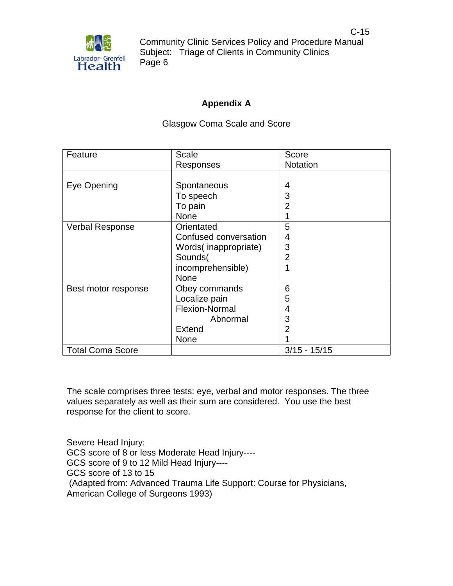

## **Appendix A**

#### Glasgow Coma Scale and Score

| Feature                 | Scale                 | Score           |
|-------------------------|-----------------------|-----------------|
|                         | Responses             | <b>Notation</b> |
|                         |                       |                 |
| Eye Opening             | Spontaneous           | 4               |
|                         | To speech             | 3               |
|                         | To pain               | $\overline{2}$  |
|                         | None                  |                 |
| <b>Verbal Response</b>  | Orientated            | 5               |
|                         | Confused conversation | 4               |
|                         | Words(inappropriate)  | 3               |
|                         | Sounds(               | 2               |
|                         | incomprehensible)     |                 |
|                         | None                  |                 |
| Best motor response     | Obey commands         | 6               |
|                         | Localize pain         | 5               |
|                         | Flexion-Normal        | 4               |
|                         | Abnormal              | 3               |
|                         | <b>Extend</b>         | 2               |
|                         | None                  |                 |
| <b>Total Coma Score</b> |                       | $3/15 - 15/15$  |

The scale comprises three tests: [eye,](http://en.wikipedia.org/wiki/Visual_perception) [verbal](http://en.wikipedia.org/wiki/Speech_communication) and [motor](http://en.wikipedia.org/wiki/Motor_skill) responses. The three values separately as well as their sum are considered. You use the best response for the client to score.

Severe Head Injury: GCS score of 8 or less Moderate Head Injury---- GCS score of 9 to 12 Mild Head Injury---- GCS score of 13 to 15 (Adapted from: Advanced Trauma Life Support: Course for Physicians, American College of Surgeons 1993)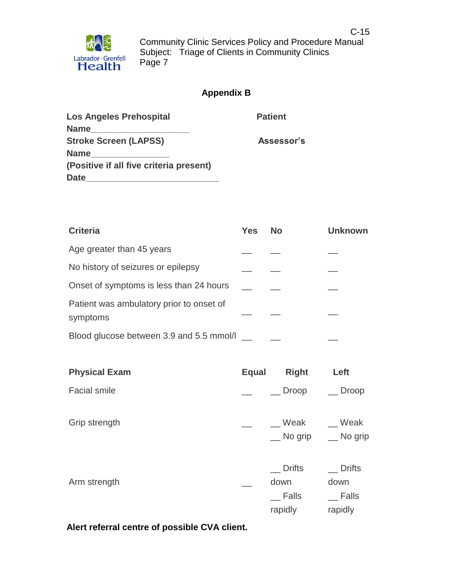# **Appendix B**

| <b>Los Angeles Prehospital</b>          | <b>Patient</b> |
|-----------------------------------------|----------------|
| <b>Name</b>                             |                |
| <b>Stroke Screen (LAPSS)</b>            | Assessor's     |
| <b>Name</b>                             |                |
| (Positive if all five criteria present) |                |
| <b>Date</b>                             |                |

| <b>Criteria</b>                                      | <b>Yes</b> | <b>No</b> | <b>Unknown</b> |
|------------------------------------------------------|------------|-----------|----------------|
| Age greater than 45 years                            |            |           |                |
| No history of seizures or epilepsy                   |            |           |                |
| Onset of symptoms is less than 24 hours              |            |           |                |
| Patient was ambulatory prior to onset of<br>symptoms |            |           |                |
| Blood glucose between 3.9 and 5.5 mmol/l             |            |           |                |

| <b>Physical Exam</b> | <b>Equal</b> | <b>Right</b>                                     | Left                                      |
|----------------------|--------------|--------------------------------------------------|-------------------------------------------|
| <b>Facial smile</b>  |              | <b>Droop</b>                                     | Droop                                     |
| Grip strength        |              | Weak<br>$\equiv$ No grip                         | Weak<br>$\equiv$ No grip                  |
| Arm strength         |              | <b>Drifts</b><br>down<br><b>Falls</b><br>rapidly | <b>Drifts</b><br>down<br>Falls<br>rapidly |

**Alert referral centre of possible CVA client.**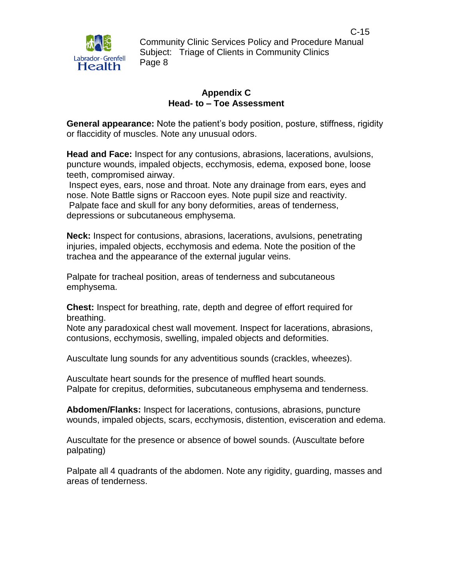

#### **Appendix C Head- to – Toe Assessment**

**General appearance:** Note the patient's body position, posture, stiffness, rigidity or flaccidity of muscles. Note any unusual odors.

**Head and Face:** Inspect for any contusions, abrasions, lacerations, avulsions, puncture wounds, impaled objects, ecchymosis, edema, exposed bone, loose teeth, compromised airway.

Inspect eyes, ears, nose and throat. Note any drainage from ears, eyes and nose. Note Battle signs or Raccoon eyes. Note pupil size and reactivity. Palpate face and skull for any bony deformities, areas of tenderness, depressions or subcutaneous emphysema.

**Neck:** Inspect for contusions, abrasions, lacerations, avulsions, penetrating injuries, impaled objects, ecchymosis and edema. Note the position of the trachea and the appearance of the external jugular veins.

Palpate for tracheal position, areas of tenderness and subcutaneous emphysema.

**Chest:** Inspect for breathing, rate, depth and degree of effort required for breathing.

Note any paradoxical chest wall movement. Inspect for lacerations, abrasions, contusions, ecchymosis, swelling, impaled objects and deformities.

Auscultate lung sounds for any adventitious sounds (crackles, wheezes).

Auscultate heart sounds for the presence of muffled heart sounds. Palpate for crepitus, deformities, subcutaneous emphysema and tenderness.

**Abdomen/Flanks:** Inspect for lacerations, contusions, abrasions, puncture wounds, impaled objects, scars, ecchymosis, distention, evisceration and edema.

Auscultate for the presence or absence of bowel sounds. (Auscultate before palpating)

Palpate all 4 quadrants of the abdomen. Note any rigidity, guarding, masses and areas of tenderness.